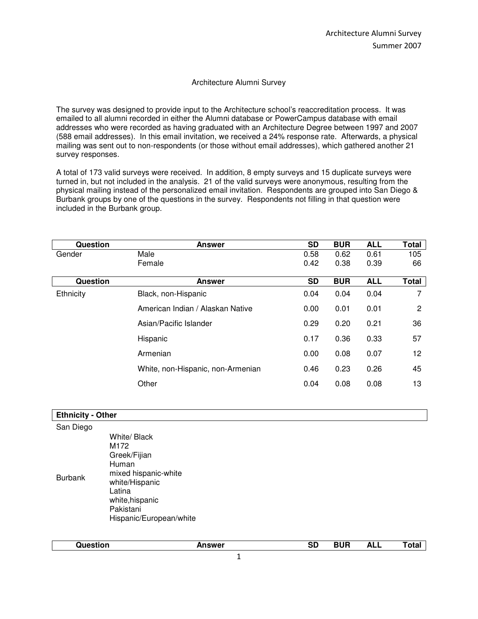#### Architecture Alumni Survey

The survey was designed to provide input to the Architecture school's reaccreditation process. It was emailed to all alumni recorded in either the Alumni database or PowerCampus database with email addresses who were recorded as having graduated with an Architecture Degree between 1997 and 2007 (588 email addresses). In this email invitation, we received a 24% response rate. Afterwards, a physical mailing was sent out to non-respondents (or those without email addresses), which gathered another 21 survey responses.

A total of 173 valid surveys were received. In addition, 8 empty surveys and 15 duplicate surveys were turned in, but not included in the analysis. 21 of the valid surveys were anonymous, resulting from the physical mailing instead of the personalized email invitation. Respondents are grouped into San Diego & Burbank groups by one of the questions in the survey. Respondents not filling in that question were included in the Burbank group.

| Question  | <b>Answer</b>                     | SD        | <b>BUR</b> | <b>ALL</b> | <b>Total</b> |
|-----------|-----------------------------------|-----------|------------|------------|--------------|
| Gender    | Male                              | 0.58      | 0.62       | 0.61       | 105          |
|           | Female                            | 0.42      | 0.38       | 0.39       | 66           |
| Question  | <b>Answer</b>                     | <b>SD</b> | <b>BUR</b> | <b>ALL</b> | <b>Total</b> |
| Ethnicity | Black, non-Hispanic               | 0.04      | 0.04       | 0.04       | 7            |
|           | American Indian / Alaskan Native  | 0.00      | 0.01       | 0.01       | 2            |
|           | Asian/Pacific Islander            | 0.29      | 0.20       | 0.21       | 36           |
|           | Hispanic                          | 0.17      | 0.36       | 0.33       | 57           |
|           | Armenian                          | 0.00      | 0.08       | 0.07       | 12           |
|           | White, non-Hispanic, non-Armenian | 0.46      | 0.23       | 0.26       | 45           |
|           | Other                             | 0.04      | 0.08       | 0.08       | 13           |

| <b>Ethnicity - Other</b> |                                                                                                                                                              |
|--------------------------|--------------------------------------------------------------------------------------------------------------------------------------------------------------|
| San Diego                |                                                                                                                                                              |
| <b>Burbank</b>           | White/ Black<br>M172<br>Greek/Fijian<br>Human<br>mixed hispanic-white<br>white/Hispanic<br>Latina<br>white, hispanic<br>Pakistani<br>Hispanic/European/white |

| . <del>.</del> | <b>nswer</b><br>. . | --<br>SD | ----<br>. . | ALL | $\sim$<br><u>i</u> otal |
|----------------|---------------------|----------|-------------|-----|-------------------------|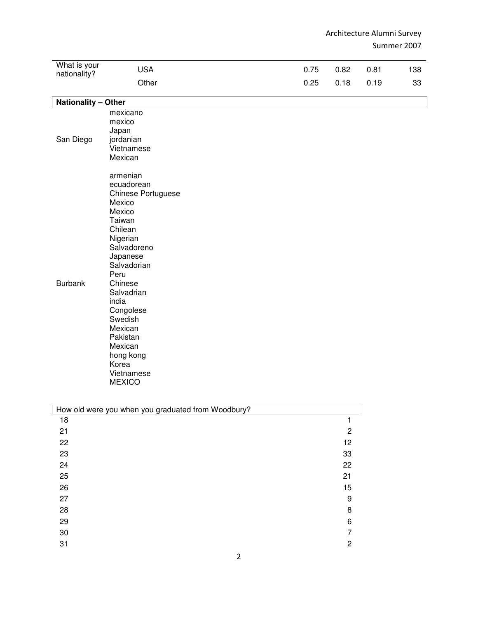| What is your<br>nationality? | <b>USA</b>                                                                                                                                                                                                                                                                                           | 0.75 | 0.82                 | 0.81 | 138 |
|------------------------------|------------------------------------------------------------------------------------------------------------------------------------------------------------------------------------------------------------------------------------------------------------------------------------------------------|------|----------------------|------|-----|
|                              | Other                                                                                                                                                                                                                                                                                                | 0.25 | 0.18                 | 0.19 | 33  |
| <b>Nationality - Other</b>   |                                                                                                                                                                                                                                                                                                      |      |                      |      |     |
| San Diego                    | mexicano<br>mexico<br>Japan<br>jordanian<br>Vietnamese<br>Mexican                                                                                                                                                                                                                                    |      |                      |      |     |
| <b>Burbank</b>               | armenian<br>ecuadorean<br>Chinese Portuguese<br>Mexico<br>Mexico<br>Taiwan<br>Chilean<br>Nigerian<br>Salvadoreno<br>Japanese<br>Salvadorian<br>Peru<br>Chinese<br>Salvadrian<br>india<br>Congolese<br>Swedish<br>Mexican<br>Pakistan<br>Mexican<br>hong kong<br>Korea<br>Vietnamese<br><b>MEXICO</b> |      |                      |      |     |
|                              | How old were you when you graduated from Woodbury?                                                                                                                                                                                                                                                   |      |                      |      |     |
| 18                           |                                                                                                                                                                                                                                                                                                      |      | $\mathbf{1}$         |      |     |
| 21<br>22                     |                                                                                                                                                                                                                                                                                                      |      | $\overline{c}$<br>12 |      |     |
| 23                           |                                                                                                                                                                                                                                                                                                      |      | 33                   |      |     |
| 24                           |                                                                                                                                                                                                                                                                                                      |      | 22                   |      |     |
| 25                           |                                                                                                                                                                                                                                                                                                      |      | 21                   |      |     |
| 26                           |                                                                                                                                                                                                                                                                                                      |      | 15                   |      |     |
| 27                           |                                                                                                                                                                                                                                                                                                      |      | $\boldsymbol{9}$     |      |     |
| 28                           |                                                                                                                                                                                                                                                                                                      |      | 8                    |      |     |
| 29                           |                                                                                                                                                                                                                                                                                                      |      | 6                    |      |     |
| $30\,$                       |                                                                                                                                                                                                                                                                                                      |      | $\overline{7}$       |      |     |
| 31                           |                                                                                                                                                                                                                                                                                                      |      | $\overline{c}$       |      |     |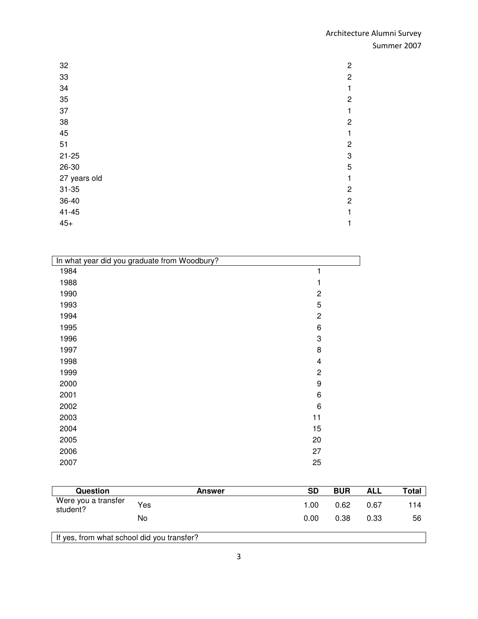| 32           | $\mathbf{2}$   |
|--------------|----------------|
| 33           | $\overline{c}$ |
| 34           | 1              |
| 35           | $\overline{c}$ |
| 37           | 1              |
| 38           | $\overline{c}$ |
| 45           | $\mathbf{1}$   |
| 51           | $\overline{c}$ |
| $21 - 25$    | 3              |
| 26-30        | 5              |
| 27 years old | 1              |
| $31 - 35$    | $\overline{c}$ |
| 36-40        | $\overline{c}$ |
| $41 - 45$    | 1              |
| $45+$        | 1              |

| In what year did you graduate from Woodbury? |                  |
|----------------------------------------------|------------------|
| 1984                                         | 1                |
| 1988                                         |                  |
| 1990                                         | $\overline{c}$   |
| 1993                                         | 5                |
| 1994                                         | $\overline{2}$   |
| 1995                                         | 6                |
| 1996                                         | 3                |
| 1997                                         | 8                |
| 1998                                         | 4                |
| 1999                                         | $\overline{c}$   |
| 2000                                         | $\boldsymbol{9}$ |
| 2001                                         | 6                |
| 2002                                         | 6                |
| 2003                                         | 11               |
| 2004                                         | 15               |
| 2005                                         | 20               |
| 2006                                         | 27               |
| 2007                                         | 25               |
|                                              |                  |

| <b>Question</b>                            | <b>Answer</b> | SD   | <b>BUR</b> | <b>ALL</b> | Total |
|--------------------------------------------|---------------|------|------------|------------|-------|
| Were you a transfer<br>student?            | Yes           | 1.00 | 0.62       | 0.67       | 114   |
|                                            | No            | 0.00 | 0.38       | 0.33       | 56    |
| If yes, from what school did you transfer? |               |      |            |            |       |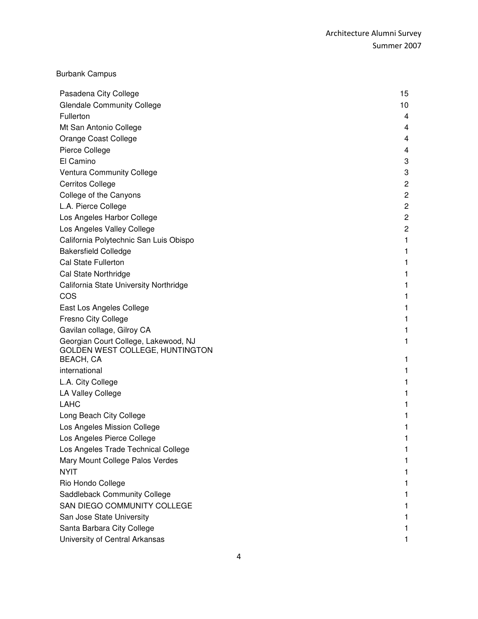|  | <b>Burbank Campus</b> |
|--|-----------------------|
|--|-----------------------|

| Pasadena City College                        | 15             |
|----------------------------------------------|----------------|
| <b>Glendale Community College</b>            | 10             |
| Fullerton                                    | 4              |
| Mt San Antonio College                       | 4              |
| Orange Coast College                         | 4              |
| Pierce College                               | 4              |
| El Camino                                    | 3              |
| <b>Ventura Community College</b>             | 3              |
| <b>Cerritos College</b>                      | $\overline{c}$ |
| College of the Canyons                       | $\overline{c}$ |
| L.A. Pierce College                          | $\mathbf 2$    |
| Los Angeles Harbor College                   | $\overline{c}$ |
| Los Angeles Valley College                   | $\overline{c}$ |
| California Polytechnic San Luis Obispo       | 1              |
| <b>Bakersfield Colledge</b>                  | 1              |
| <b>Cal State Fullerton</b>                   | 1              |
| Cal State Northridge                         | 1              |
| California State University Northridge       | 1              |
| COS                                          | 1              |
| East Los Angeles College                     | 1              |
| Fresno City College                          | 1              |
| Gavilan collage, Gilroy CA                   | 1              |
| Georgian Court College, Lakewood, NJ         | 1              |
| GOLDEN WEST COLLEGE, HUNTINGTON<br>BEACH, CA | 1              |
| international                                | 1              |
| L.A. City College                            | 1              |
| LA Valley College                            | 1              |
| <b>LAHC</b>                                  | 1              |
| Long Beach City College                      | 1              |
| Los Angeles Mission College                  | 1              |
| Los Angeles Pierce College                   |                |
| Los Angeles Trade Technical College          |                |
| Mary Mount College Palos Verdes              |                |
| <b>NYIT</b>                                  |                |
| Rio Hondo College                            |                |
| Saddleback Community College                 |                |
| SAN DIEGO COMMUNITY COLLEGE                  |                |
| San Jose State University                    |                |
| Santa Barbara City College                   |                |
| University of Central Arkansas               |                |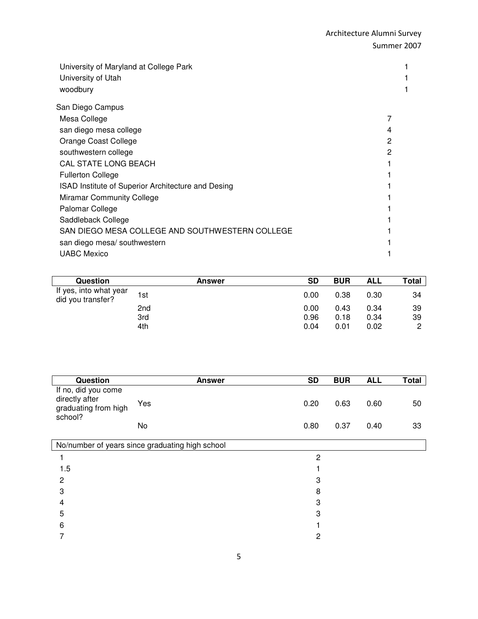| University of Maryland at College Park<br>University of Utah<br>woodbury |   |
|--------------------------------------------------------------------------|---|
| San Diego Campus                                                         |   |
| Mesa College                                                             |   |
| san diego mesa college                                                   | 4 |
| Orange Coast College                                                     | 2 |
| southwestern college                                                     | 2 |
| <b>CAL STATE LONG BEACH</b>                                              |   |
| <b>Fullerton College</b>                                                 |   |
| ISAD Institute of Superior Architecture and Desing                       |   |
| <b>Miramar Community College</b>                                         |   |
| Palomar College                                                          |   |
| Saddleback College                                                       |   |
| SAN DIEGO MESA COLLEGE AND SOUTHWESTERN COLLEGE                          |   |
| san diego mesa/ southwestern                                             |   |
| <b>UABC Mexico</b>                                                       |   |

| Question                                    | Answer | <b>SD</b> | <b>BUR</b> | <b>ALL</b> | Total |
|---------------------------------------------|--------|-----------|------------|------------|-------|
| If yes, into what year<br>did you transfer? | 1st    | 0.00      | 0.38       | 0.30       | 34    |
|                                             | 2nd    | 0.00      | 0.43       | 0.34       | 39    |
|                                             | 3rd    | 0.96      | 0.18       | 0.34       | 39    |
|                                             | 4th    | 0.04      | 0.01       | 0.02       | റ     |

| Question                                                                 | <b>Answer</b>                                   | <b>SD</b>      | <b>BUR</b> | <b>ALL</b> | <b>Total</b> |
|--------------------------------------------------------------------------|-------------------------------------------------|----------------|------------|------------|--------------|
| If no, did you come<br>directly after<br>graduating from high<br>school? | Yes                                             | 0.20           | 0.63       | 0.60       | 50           |
|                                                                          | No                                              | 0.80           | 0.37       | 0.40       | 33           |
|                                                                          | No/number of years since graduating high school |                |            |            |              |
|                                                                          |                                                 | $\overline{2}$ |            |            |              |
| 1.5                                                                      |                                                 |                |            |            |              |
| $\overline{c}$                                                           |                                                 | 3              |            |            |              |
| 3                                                                        |                                                 | 8              |            |            |              |
| 4                                                                        |                                                 | 3              |            |            |              |
| 5                                                                        |                                                 | 3              |            |            |              |
| 6                                                                        |                                                 |                |            |            |              |
| 7                                                                        |                                                 | 2              |            |            |              |
|                                                                          |                                                 |                |            |            |              |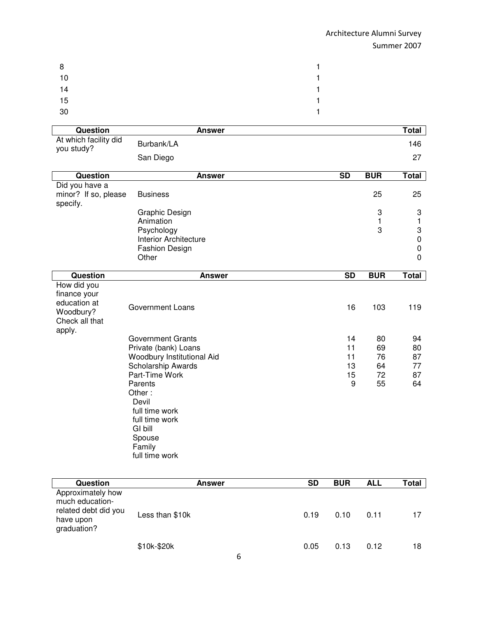| 8  | $\mathbf{1}$   |
|----|----------------|
| 10 | $\mathbf{1}$   |
| 14 | 1              |
| 15 | 1              |
| 30 | $\blacksquare$ |

| Question                                                                             | <b>Answer</b>                        |                 |            | <b>Total</b>               |
|--------------------------------------------------------------------------------------|--------------------------------------|-----------------|------------|----------------------------|
| At which facility did                                                                | Burbank/LA                           |                 |            | 146                        |
| you study?                                                                           | San Diego                            |                 |            | 27                         |
|                                                                                      |                                      |                 |            |                            |
| <b>Question</b>                                                                      | <b>Answer</b>                        | $\overline{SD}$ | <b>BUR</b> | <b>Total</b>               |
| Did you have a<br>minor? If so, please<br>specify.                                   | <b>Business</b>                      |                 | 25         | 25                         |
|                                                                                      | Graphic Design                       |                 | 3          | 3                          |
|                                                                                      | Animation                            |                 | 1          | 1                          |
|                                                                                      | Psychology                           |                 | 3          | 3                          |
|                                                                                      | Interior Architecture                |                 |            | $\mathbf 0$<br>$\mathbf 0$ |
|                                                                                      | <b>Fashion Design</b><br>Other       |                 |            | 0                          |
|                                                                                      |                                      |                 |            |                            |
| <b>Question</b>                                                                      | <b>Answer</b>                        | $\overline{SD}$ | <b>BUR</b> | <b>Total</b>               |
| How did you<br>finance your<br>education at<br>Woodbury?<br>Check all that<br>apply. | <b>Government Loans</b>              | 16              | 103        | 119                        |
|                                                                                      | <b>Government Grants</b>             | 14              | 80         | 94                         |
|                                                                                      | Private (bank) Loans                 | 11              | 69         | 80                         |
|                                                                                      | Woodbury Institutional Aid           | 11              | 76         | 87                         |
|                                                                                      | Scholarship Awards<br>Part-Time Work | 13              | 64<br>72   | 77<br>87                   |
|                                                                                      | Parents                              | 15<br>9         | 55         | 64                         |
|                                                                                      | Other:<br>Devil<br>full time work    |                 |            |                            |
|                                                                                      | full time work<br>GI bill<br>Spouse  |                 |            |                            |
|                                                                                      | Family<br>full time work             |                 |            |                            |

| Question                                                                                 | <b>Answer</b>   | <b>SD</b> | <b>BUR</b> | <b>ALL</b> | Total |
|------------------------------------------------------------------------------------------|-----------------|-----------|------------|------------|-------|
| Approximately how<br>much education-<br>related debt did you<br>have upon<br>graduation? | Less than \$10k | 0.19      | 0.10       | 0.11       | 17    |
|                                                                                          | \$10k-\$20k     | 0.05<br>c | 0.13       | 0.12       | 18    |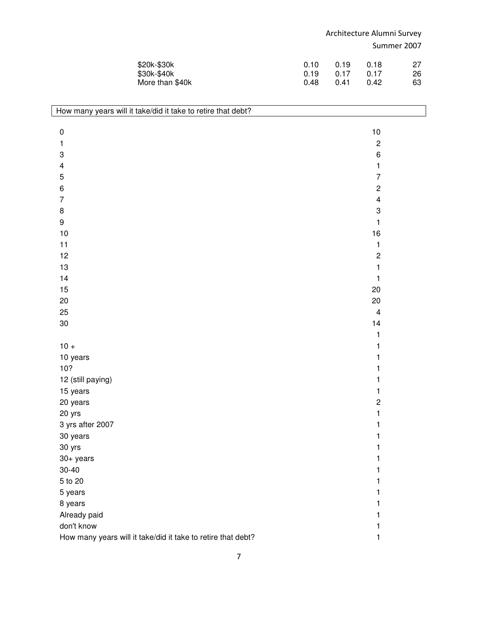| \$20k-\$30k     | <u>ດ 1ດ</u> | 0.19   | 0.18 | 27 |
|-----------------|-------------|--------|------|----|
| \$30k-\$40k     | 0. 19       | . በ 17 | 0.17 | 26 |
| More than \$40k | 0.48        | ()41   | 0.42 | 63 |

| $10$<br>$\pmb{0}$<br>$\mathbf{2}$<br>$\mathbf{1}$<br>$\ensuremath{\mathsf{3}}$<br>6<br>$\overline{\mathbf{4}}$<br>1<br>$\sqrt{5}$<br>$\overline{7}$<br>$\overline{c}$<br>6<br>$\overline{7}$<br>$\overline{\mathbf{4}}$<br>8<br>3<br>$\boldsymbol{9}$<br>1<br>10<br>16<br>11<br>$\mathbf{1}$<br>12<br>$\mathbf 2$<br>$\mathbf{1}$<br>13<br>14<br>1<br>15<br>20<br>20<br>20<br>25<br>$\overline{\mathbf{4}}$<br>$30\,$<br>14<br>$\mathbf{1}$<br>$10 +$<br>1<br>10 years<br>1<br>10?<br>1<br>12 (still paying)<br>1<br>15 years<br>1<br>$\mathbf{2}$<br>20 years<br>20 yrs<br>$\mathbf{1}$<br>3 yrs after 2007<br>1<br>30 years<br>1<br>30 yrs<br>1<br>$30+$ years<br>1<br>$30 - 40$<br>1<br>5 to 20<br>1<br>5 years<br>1<br>8 years<br>1 | How many years will it take/did it take to retire that debt? |  |
|-----------------------------------------------------------------------------------------------------------------------------------------------------------------------------------------------------------------------------------------------------------------------------------------------------------------------------------------------------------------------------------------------------------------------------------------------------------------------------------------------------------------------------------------------------------------------------------------------------------------------------------------------------------------------------------------------------------------------------------------|--------------------------------------------------------------|--|
|                                                                                                                                                                                                                                                                                                                                                                                                                                                                                                                                                                                                                                                                                                                                         |                                                              |  |
|                                                                                                                                                                                                                                                                                                                                                                                                                                                                                                                                                                                                                                                                                                                                         |                                                              |  |
|                                                                                                                                                                                                                                                                                                                                                                                                                                                                                                                                                                                                                                                                                                                                         |                                                              |  |
|                                                                                                                                                                                                                                                                                                                                                                                                                                                                                                                                                                                                                                                                                                                                         |                                                              |  |
|                                                                                                                                                                                                                                                                                                                                                                                                                                                                                                                                                                                                                                                                                                                                         |                                                              |  |
|                                                                                                                                                                                                                                                                                                                                                                                                                                                                                                                                                                                                                                                                                                                                         |                                                              |  |
|                                                                                                                                                                                                                                                                                                                                                                                                                                                                                                                                                                                                                                                                                                                                         |                                                              |  |
|                                                                                                                                                                                                                                                                                                                                                                                                                                                                                                                                                                                                                                                                                                                                         |                                                              |  |
|                                                                                                                                                                                                                                                                                                                                                                                                                                                                                                                                                                                                                                                                                                                                         |                                                              |  |
|                                                                                                                                                                                                                                                                                                                                                                                                                                                                                                                                                                                                                                                                                                                                         |                                                              |  |
|                                                                                                                                                                                                                                                                                                                                                                                                                                                                                                                                                                                                                                                                                                                                         |                                                              |  |
|                                                                                                                                                                                                                                                                                                                                                                                                                                                                                                                                                                                                                                                                                                                                         |                                                              |  |
|                                                                                                                                                                                                                                                                                                                                                                                                                                                                                                                                                                                                                                                                                                                                         |                                                              |  |
|                                                                                                                                                                                                                                                                                                                                                                                                                                                                                                                                                                                                                                                                                                                                         |                                                              |  |
|                                                                                                                                                                                                                                                                                                                                                                                                                                                                                                                                                                                                                                                                                                                                         |                                                              |  |
|                                                                                                                                                                                                                                                                                                                                                                                                                                                                                                                                                                                                                                                                                                                                         |                                                              |  |
|                                                                                                                                                                                                                                                                                                                                                                                                                                                                                                                                                                                                                                                                                                                                         |                                                              |  |
|                                                                                                                                                                                                                                                                                                                                                                                                                                                                                                                                                                                                                                                                                                                                         |                                                              |  |
|                                                                                                                                                                                                                                                                                                                                                                                                                                                                                                                                                                                                                                                                                                                                         |                                                              |  |
|                                                                                                                                                                                                                                                                                                                                                                                                                                                                                                                                                                                                                                                                                                                                         |                                                              |  |
|                                                                                                                                                                                                                                                                                                                                                                                                                                                                                                                                                                                                                                                                                                                                         |                                                              |  |
|                                                                                                                                                                                                                                                                                                                                                                                                                                                                                                                                                                                                                                                                                                                                         |                                                              |  |
|                                                                                                                                                                                                                                                                                                                                                                                                                                                                                                                                                                                                                                                                                                                                         |                                                              |  |
|                                                                                                                                                                                                                                                                                                                                                                                                                                                                                                                                                                                                                                                                                                                                         |                                                              |  |
|                                                                                                                                                                                                                                                                                                                                                                                                                                                                                                                                                                                                                                                                                                                                         |                                                              |  |
|                                                                                                                                                                                                                                                                                                                                                                                                                                                                                                                                                                                                                                                                                                                                         |                                                              |  |
|                                                                                                                                                                                                                                                                                                                                                                                                                                                                                                                                                                                                                                                                                                                                         |                                                              |  |
|                                                                                                                                                                                                                                                                                                                                                                                                                                                                                                                                                                                                                                                                                                                                         |                                                              |  |
|                                                                                                                                                                                                                                                                                                                                                                                                                                                                                                                                                                                                                                                                                                                                         |                                                              |  |
|                                                                                                                                                                                                                                                                                                                                                                                                                                                                                                                                                                                                                                                                                                                                         |                                                              |  |
|                                                                                                                                                                                                                                                                                                                                                                                                                                                                                                                                                                                                                                                                                                                                         |                                                              |  |
|                                                                                                                                                                                                                                                                                                                                                                                                                                                                                                                                                                                                                                                                                                                                         |                                                              |  |
|                                                                                                                                                                                                                                                                                                                                                                                                                                                                                                                                                                                                                                                                                                                                         |                                                              |  |
|                                                                                                                                                                                                                                                                                                                                                                                                                                                                                                                                                                                                                                                                                                                                         |                                                              |  |
| 1                                                                                                                                                                                                                                                                                                                                                                                                                                                                                                                                                                                                                                                                                                                                       | Already paid                                                 |  |
| don't know<br>1                                                                                                                                                                                                                                                                                                                                                                                                                                                                                                                                                                                                                                                                                                                         |                                                              |  |
| How many years will it take/did it take to retire that debt?<br>1                                                                                                                                                                                                                                                                                                                                                                                                                                                                                                                                                                                                                                                                       |                                                              |  |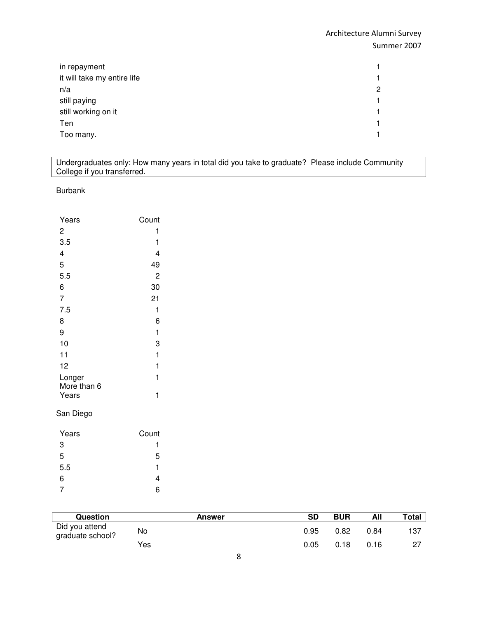| in repayment                | 1.             |
|-----------------------------|----------------|
| it will take my entire life | 1              |
| n/a                         | $\overline{c}$ |
| still paying                | 1              |
| still working on it         | 1              |
| Ten                         | 1              |
| Too many.                   | 1.             |

Undergraduates only: How many years in total did you take to graduate? Please include Community College if you transferred.

#### Burbank

| Years                | Count |
|----------------------|-------|
| 2                    | 1     |
| 3.5                  | 1     |
| 4                    | 4     |
| 5                    | 49    |
| 5.5                  | 2     |
| 6                    | 30    |
| $\overline{7}$       | 21    |
| 7.5                  | 1     |
| 8                    | 6     |
| 9                    | 1     |
| 10                   | 3     |
| 11                   | 1     |
| 12                   | 1     |
| Longer               | 1     |
| More than 6<br>Years | 1     |
| San Diego            |       |
| Years                | Count |
| 3                    | 1     |

| 3   |   |
|-----|---|
| 5   | 5 |
| 5.5 | 1 |
| 6   | 4 |
| 7   | 6 |
|     |   |

| <b>Question</b>                    | <b>Answer</b> | SD   | <b>BUR</b> | All  | Total |
|------------------------------------|---------------|------|------------|------|-------|
| Did you attend<br>graduate school? | No            | 0.95 | 0.82       | 0.84 | 137   |
|                                    | Yes           | 0.05 | 0.18       | 0.16 |       |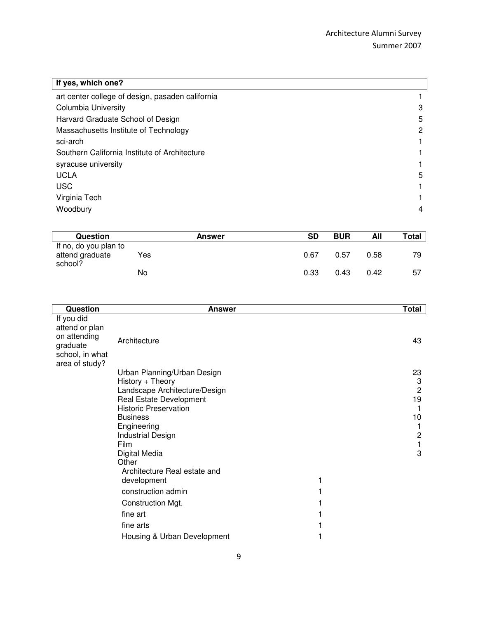| If yes, which one?                               |   |
|--------------------------------------------------|---|
| art center college of design, pasaden california |   |
| Columbia University                              | 3 |
| Harvard Graduate School of Design                | 5 |
| Massachusetts Institute of Technology            | 2 |
| sci-arch                                         |   |
| Southern California Institute of Architecture    |   |
| syracuse university                              |   |
| <b>UCLA</b>                                      | 5 |
| <b>USC</b>                                       |   |
| Virginia Tech                                    |   |
| Woodbury                                         | 4 |

| <b>Question</b>                                     |     | <b>Answer</b> | <b>SD</b> | <b>BUR</b> | All  | <b>Total</b> |
|-----------------------------------------------------|-----|---------------|-----------|------------|------|--------------|
| If no, do you plan to<br>attend graduate<br>school? | Yes |               | 0.67      | 0.57       | 0.58 | 79           |
|                                                     | No  |               | 0.33      | 0.43       | 0.42 | -57          |

| <b>Question</b>                                                                               | Answer                                            | Total  |
|-----------------------------------------------------------------------------------------------|---------------------------------------------------|--------|
| If you did<br>attend or plan<br>on attending<br>graduate<br>school, in what<br>area of study? | Architecture                                      | 43     |
|                                                                                               | Urban Planning/Urban Design                       | 23     |
|                                                                                               | History + Theory<br>Landscape Architecture/Design | 3<br>2 |
|                                                                                               | Real Estate Development                           | 19     |
|                                                                                               | <b>Historic Preservation</b>                      |        |
|                                                                                               | <b>Business</b>                                   | 10     |
|                                                                                               | Engineering                                       |        |
|                                                                                               | <b>Industrial Design</b><br>Film                  | 2      |
|                                                                                               | Digital Media                                     | 3      |
|                                                                                               | Other                                             |        |
|                                                                                               | Architecture Real estate and                      |        |
|                                                                                               | development                                       |        |
|                                                                                               | construction admin                                |        |
|                                                                                               | Construction Mgt.                                 |        |
|                                                                                               | fine art                                          |        |
|                                                                                               | fine arts                                         |        |
|                                                                                               | Housing & Urban Development                       |        |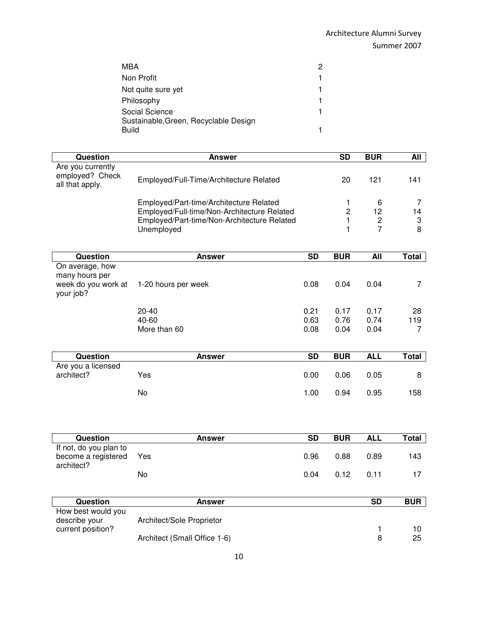| MBA                                            | 2 |
|------------------------------------------------|---|
| Non Profit                                     |   |
| Not quite sure yet                             |   |
| Philosophy                                     |   |
| Social Science                                 |   |
| Sustainable, Green, Recyclable Design<br>Build |   |

| Question                                                | <b>Answer</b>                                                                              |                        | <b>SD</b>           | <b>BUR</b>    | All            |
|---------------------------------------------------------|--------------------------------------------------------------------------------------------|------------------------|---------------------|---------------|----------------|
| Are you currently<br>employed? Check<br>all that apply. | Employed/Full-Time/Architecture Related                                                    |                        | 20                  | 121           | 141            |
|                                                         |                                                                                            |                        |                     |               |                |
|                                                         | Employed/Part-time/Architecture Related                                                    |                        | 1<br>$\overline{c}$ | 6<br>12       | 7<br>14        |
|                                                         | Employed/Full-time/Non-Architecture Related<br>Employed/Part-time/Non-Architecture Related |                        | 1                   |               | 3              |
|                                                         | Unemployed                                                                                 |                        | 1                   | $\frac{2}{7}$ | 8              |
|                                                         |                                                                                            |                        |                     |               |                |
| <b>Question</b>                                         | <b>Answer</b>                                                                              | $\overline{\text{SD}}$ | <b>BUR</b>          | <b>All</b>    | <b>Total</b>   |
| On average, how<br>many hours per                       |                                                                                            |                        |                     |               |                |
| week do you work at<br>your job?                        | 1-20 hours per week                                                                        | 0.08                   | 0.04                | 0.04          | 7              |
|                                                         | 20-40                                                                                      | 0.21                   | 0.17                | 0.17          | 28             |
|                                                         | 40-60                                                                                      | 0.63                   | 0.76                | 0.74          | 119            |
|                                                         | More than 60                                                                               | 0.08                   | 0.04                | 0.04          | $\overline{7}$ |
| Question                                                | <b>Answer</b>                                                                              | <b>SD</b>              | <b>BUR</b>          | <b>ALL</b>    | <b>Total</b>   |
| Are you a licensed                                      |                                                                                            |                        |                     |               |                |
| architect?                                              | Yes                                                                                        | 0.00                   | 0.06                | 0.05          | 8              |
|                                                         | No                                                                                         | 1.00                   | 0.94                | 0.95          | 158            |
|                                                         |                                                                                            |                        |                     |               |                |
| Question                                                | <b>Answer</b>                                                                              | <b>SD</b>              | <b>BUR</b>          | <b>ALL</b>    | <b>Total</b>   |
| If not, do you plan to                                  |                                                                                            |                        |                     |               |                |
| become a registered<br>architect?                       | Yes                                                                                        | 0.96                   | 0.88                | 0.89          | 143            |
|                                                         | No                                                                                         | 0.04                   | 0.12                | 0.11          | 17             |
|                                                         |                                                                                            |                        |                     |               |                |

| <b>Question</b>    | <b>Answer</b>                | SD | <b>BUR</b> |
|--------------------|------------------------------|----|------------|
| How best would you |                              |    |            |
| describe your      | Architect/Sole Proprietor    |    |            |
| current position?  |                              |    |            |
|                    | Architect (Small Office 1-6) |    | 25         |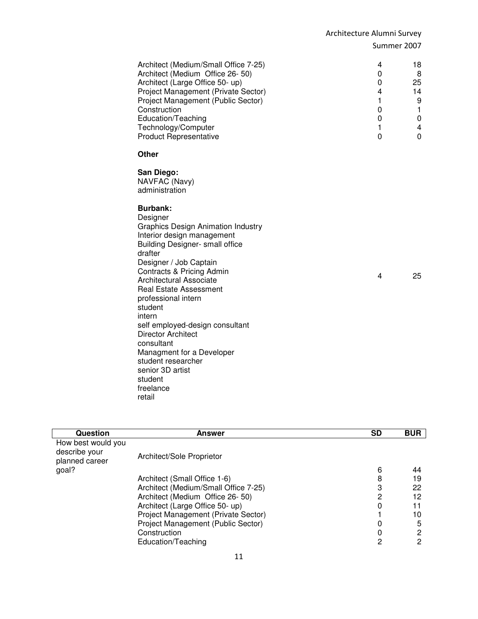| 4<br>0<br>0<br>4<br>1<br>0<br>0<br>1<br>$\mathbf 0$ | 18<br>8<br>25<br>14<br>9<br>1<br>0<br>4<br>$\Omega$ |
|-----------------------------------------------------|-----------------------------------------------------|
|                                                     |                                                     |
|                                                     |                                                     |
| 4                                                   | 25                                                  |
|                                                     |                                                     |

| Question                                              | Answer                               | <b>SD</b> | <b>BUR</b> |
|-------------------------------------------------------|--------------------------------------|-----------|------------|
| How best would you<br>describe your<br>planned career | Architect/Sole Proprietor            |           |            |
| goal?                                                 |                                      | 6         | 44         |
|                                                       | Architect (Small Office 1-6)         | 8         | 19         |
|                                                       | Architect (Medium/Small Office 7-25) | 3         | 22         |
|                                                       | Architect (Medium Office 26-50)      | 2         | 12         |
|                                                       | Architect (Large Office 50- up)      | 0         |            |
|                                                       | Project Management (Private Sector)  |           | 10         |
|                                                       | Project Management (Public Sector)   | Ω         | 5          |
|                                                       | Construction                         | 0         | 2          |
|                                                       | Education/Teaching                   | 2         | 2          |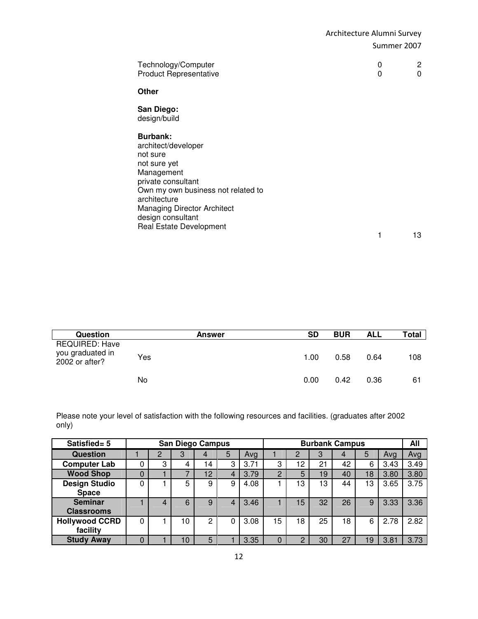| Other<br>San Diego:<br>design/build<br><b>Burbank:</b><br>architect/developer<br>not sure<br>not sure yet<br>Management<br>private consultant<br>Own my own business not related to<br>architecture<br><b>Managing Director Architect</b><br>design consultant | Technology/Computer<br><b>Product Representative</b> | 0<br>0 | 2<br>0 |
|----------------------------------------------------------------------------------------------------------------------------------------------------------------------------------------------------------------------------------------------------------------|------------------------------------------------------|--------|--------|
|                                                                                                                                                                                                                                                                |                                                      |        |        |
|                                                                                                                                                                                                                                                                |                                                      |        |        |
| 1                                                                                                                                                                                                                                                              | Real Estate Development                              |        | 13     |

| Question                                                    | <b>Answer</b> | SD   | <b>BUR</b> | <b>ALL</b> | Total |
|-------------------------------------------------------------|---------------|------|------------|------------|-------|
| <b>REQUIRED: Have</b><br>you graduated in<br>2002 or after? | Yes           | 1.00 | 0.58       | 0.64       | 108   |
|                                                             | No            | 0.00 | 0.42       | 0.36       | 61    |

Please note your level of satisfaction with the following resources and facilities. (graduates after 2002 only)

| Satisfied= 5          |   |   |    | <b>San Diego Campus</b> |   |      |    |    |    | <b>Burbank Campus</b> |    |      | All  |
|-----------------------|---|---|----|-------------------------|---|------|----|----|----|-----------------------|----|------|------|
| <b>Question</b>       |   | 2 | 3  | 4                       | 5 | Avg  |    | 2  | 3  | 4                     | 5  | Ava  | Avg  |
| <b>Computer Lab</b>   |   | 3 | 4  | 14                      | 3 | 3.71 | 3  | 12 | 21 | 42                    | 6  | 3.43 | 3.49 |
| <b>Wood Shop</b>      | 0 |   |    | 12                      | 4 | 3.79 | C  | 5  | 19 | 40                    | 18 | 3.80 | 3.80 |
| <b>Design Studio</b>  |   |   | 5  | 9                       | 9 | 4.08 |    | 13 | 13 | 44                    | 13 | 3.65 | 3.75 |
| <b>Space</b>          |   |   |    |                         |   |      |    |    |    |                       |    |      |      |
| <b>Seminar</b>        |   | 4 | 6  | 9                       |   | 3.46 |    | 15 | 32 | 26                    | 9  | 3.33 | 3.36 |
| <b>Classrooms</b>     |   |   |    |                         |   |      |    |    |    |                       |    |      |      |
| <b>Hollywood CCRD</b> | 0 |   | 10 | 0                       | 0 | 3.08 | 15 | 18 | 25 | 18                    | 6  | 2.78 | 2.82 |
| facility              |   |   |    |                         |   |      |    |    |    |                       |    |      |      |
| <b>Study Away</b>     | 0 |   | 10 | 5                       |   | 3.35 |    | ◠  | 30 | 27                    | 19 | 3.81 | 3.73 |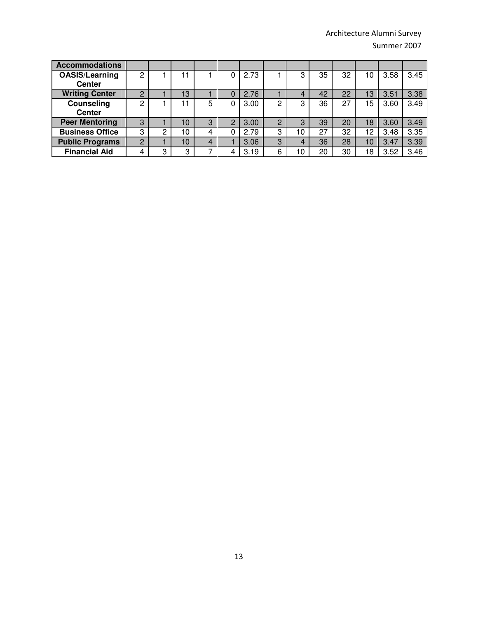| <b>Accommodations</b>  |          |   |    |   |   |      |   |    |    |    |    |      |      |
|------------------------|----------|---|----|---|---|------|---|----|----|----|----|------|------|
| OASIS/Learning         | 2        |   |    |   | 0 | 2.73 |   | 3  | 35 | 32 | 10 | 3.58 | 3.45 |
| <b>Center</b>          |          |   |    |   |   |      |   |    |    |    |    |      |      |
| <b>Writing Center</b>  | C        |   | 13 |   |   | 2.76 |   | 4  | 42 | 22 | 13 | 3.51 | 3.38 |
| Counseling             | ົ        |   |    | 5 | 0 | 3.00 | n | 3  | 36 | 27 | 15 | 3.60 | 3.49 |
| <b>Center</b>          |          |   |    |   |   |      |   |    |    |    |    |      |      |
| <b>Peer Mentoring</b>  | 3        |   | 10 | 3 | っ | 3.00 | 2 | 3  | 39 | 20 | 18 | 3.60 | 3.49 |
| <b>Business Office</b> | 3        | 2 | 10 |   | 0 | 2.79 | 3 | 10 | 27 | 32 | 12 | 3.48 | 3.35 |
| <b>Public Programs</b> | $\Omega$ |   | 10 | 4 |   | 3.06 | 3 | 4  | 36 | 28 | 10 | 3.47 | 3.39 |
| <b>Financial Aid</b>   | 4        | 3 | 3  |   |   | 3.19 | 6 | 10 | 20 | 30 | 18 | 3.52 | 3.46 |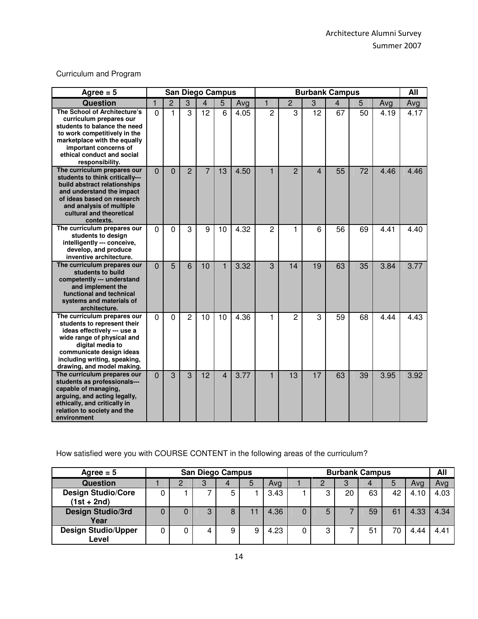### Curriculum and Program

| Agree $= 5$                                                                                                                                                                                                                           |                |                |                | <b>San Diego Campus</b> |                |      | <b>Burbank Campus</b> |                |                         |                         |                 |      |      |  |
|---------------------------------------------------------------------------------------------------------------------------------------------------------------------------------------------------------------------------------------|----------------|----------------|----------------|-------------------------|----------------|------|-----------------------|----------------|-------------------------|-------------------------|-----------------|------|------|--|
| Question                                                                                                                                                                                                                              | 1              | $\overline{2}$ | 3              | $\overline{4}$          | 5              | Avg  | $\blacksquare$        | $\overline{2}$ | 3                       | $\overline{\mathbf{4}}$ | 5               | Avg  | Avg  |  |
| The School of Architecture's<br>curriculum prepares our<br>students to balance the need<br>to work competitively in the<br>marketplace with the equally<br>important concerns of<br>ethical conduct and social<br>responsibility.     | $\mathbf 0$    | 1              | 3              | 12                      | 6              | 4.05 | $\overline{2}$        | 3              | 12                      | 67                      | 50              | 4.19 | 4.17 |  |
| The curriculum prepares our<br>students to think critically---<br>build abstract relationships<br>and understand the impact<br>of ideas based on research<br>and analysis of multiple<br>cultural and theoretical<br>contexts.        | $\overline{0}$ | $\overline{0}$ | $\overline{2}$ | $\overline{7}$          | 13             | 4.50 | $\mathbf{1}$          | $\overline{2}$ | $\overline{\mathbf{A}}$ | 55                      | $\overline{72}$ | 4.46 | 4.46 |  |
| The curriculum prepares our<br>students to design<br>intelligently --- conceive,<br>develop, and produce<br>inventive architecture.                                                                                                   | $\mathbf 0$    | 0              | 3              | 9                       | 10             | 4.32 | 2                     | 1              | 6                       | 56                      | 69              | 4.41 | 4.40 |  |
| The curriculum prepares our<br>students to build<br>competently --- understand<br>and implement the<br>functional and technical<br>systems and materials of<br>architecture.                                                          | $\overline{0}$ | 5              | 6              | 10                      | $\overline{1}$ | 3.32 | 3                     | 14             | 19                      | 63                      | 35              | 3.84 | 3.77 |  |
| The curriculum prepares our<br>students to represent their<br>ideas effectively --- use a<br>wide range of physical and<br>digital media to<br>communicate design ideas<br>including writing, speaking,<br>drawing, and model making. | $\overline{0}$ | $\Omega$       | $\overline{2}$ | 10                      | 10             | 4.36 | 1                     | $\overline{2}$ | 3                       | 59                      | 68              | 4.44 | 4.43 |  |
| The curriculum prepares our<br>students as professionals---<br>capable of managing,<br>arguing, and acting legally,<br>ethically, and critically in<br>relation to society and the<br>environment                                     | $\overline{0}$ | 3              | 3              | 12                      | $\overline{4}$ | 3.77 | $\mathbf{1}$          | 13             | 17                      | 63                      | 39              | 3.95 | 3.92 |  |

How satisfied were you with COURSE CONTENT in the following areas of the curriculum?

| Agree $= 5$                | <b>San Diego Campus</b> |   |   |   |      |  |        | <b>Burbank Campus</b> |    |    |      |      |  |  |
|----------------------------|-------------------------|---|---|---|------|--|--------|-----------------------|----|----|------|------|--|--|
| <b>Question</b>            |                         | 3 | 4 | 5 | Ava  |  |        | 3                     |    | 5  | Avg  | Ava  |  |  |
| <b>Design Studio/Core</b>  |                         |   | 5 |   | 3.43 |  |        | 20                    | 63 | 42 | 4.10 | 4.03 |  |  |
| $(1st + 2nd)$              |                         |   |   |   |      |  |        |                       |    |    |      |      |  |  |
| <b>Design Studio/3rd</b>   |                         |   |   |   | 4.36 |  | 5      |                       | 59 | 61 | 4.33 | 4.34 |  |  |
| Year                       |                         |   |   |   |      |  |        |                       |    |    |      |      |  |  |
| <b>Design Studio/Upper</b> |                         |   | 9 | 9 | 4.23 |  | റ<br>د |                       | 51 | 70 | 4.44 | 4.41 |  |  |
| Level                      |                         |   |   |   |      |  |        |                       |    |    |      |      |  |  |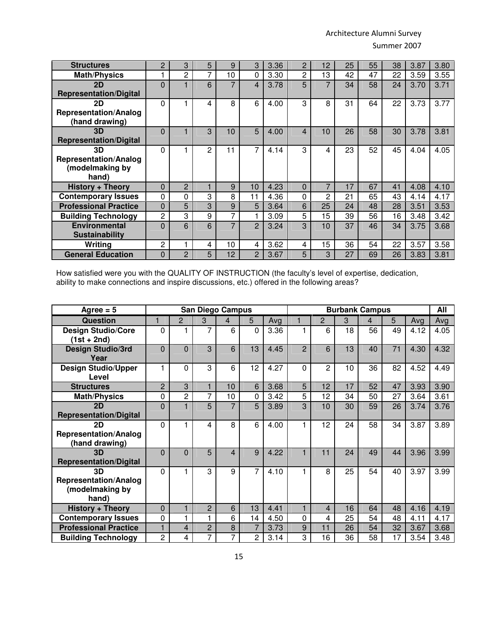| <b>Structures</b>             | 2              | 3              | 5              | 9              | 3              | 3.36 | 2        | 12             | 25 | 55 | 38 | 3.87 | 3.80 |
|-------------------------------|----------------|----------------|----------------|----------------|----------------|------|----------|----------------|----|----|----|------|------|
| <b>Math/Physics</b>           | 1              | $\overline{2}$ | 7              | 10             | 0              | 3.30 | 2        | 13             | 42 | 47 | 22 | 3.59 | 3.55 |
| 2D                            | $\overline{0}$ |                | 6              | 7              | $\overline{4}$ | 3.78 | 5        | 7              | 34 | 58 | 24 | 3.70 | 3.71 |
| <b>Representation/Digital</b> |                |                |                |                |                |      |          |                |    |    |    |      |      |
| 2D                            | 0              |                | 4              | 8              | 6              | 4.00 | 3        | 8              | 31 | 64 | 22 | 3.73 | 3.77 |
| <b>Representation/Analog</b>  |                |                |                |                |                |      |          |                |    |    |    |      |      |
| (hand drawing)                |                |                |                |                |                |      |          |                |    |    |    |      |      |
| 3D                            | $\Omega$       |                | 3              | 10             | 5              | 4.00 | 4        | 10             | 26 | 58 | 30 | 3.78 | 3.81 |
| <b>Representation/Digital</b> |                |                |                |                |                |      |          |                |    |    |    |      |      |
| 3D                            | 0              |                | $\overline{c}$ | 11             | 7              | 4.14 | 3        | 4              | 23 | 52 | 45 | 4.04 | 4.05 |
| <b>Representation/Analog</b>  |                |                |                |                |                |      |          |                |    |    |    |      |      |
| (modelmaking by               |                |                |                |                |                |      |          |                |    |    |    |      |      |
| hand)                         |                |                |                |                |                |      |          |                |    |    |    |      |      |
| <b>History + Theory</b>       | $\Omega$       | $\overline{2}$ |                | 9              | 10             | 4.23 | $\Omega$ | $\overline{7}$ | 17 | 67 | 41 | 4.08 | 4.10 |
| <b>Contemporary Issues</b>    | 0              | $\Omega$       | 3              | 8              | 11             | 4.36 | $\Omega$ | $\overline{2}$ | 21 | 65 | 43 | 4.14 | 4.17 |
| <b>Professional Practice</b>  | 0              | 5              | 3              | 9              | 5              | 3.64 | 6        | 25             | 24 | 48 | 28 | 3.51 | 3.53 |
| <b>Building Technology</b>    | 2              | 3              | 9              | 7              |                | 3.09 | 5        | 15             | 39 | 56 | 16 | 3.48 | 3.42 |
| <b>Environmental</b>          | $\Omega$       | 6              | 6              | $\overline{7}$ | $\overline{2}$ | 3.24 | 3        | 10             | 37 | 46 | 34 | 3.75 | 3.68 |
| <b>Sustainability</b>         |                |                |                |                |                |      |          |                |    |    |    |      |      |
| Writing                       | $\overline{c}$ |                | 4              | 10             | 4              | 3.62 | 4        | 15             | 36 | 54 | 22 | 3.57 | 3.58 |
| <b>General Education</b>      | 0              | 2              | 5              | 12             | 2              | 3.67 | 5        | 3              | 27 | 69 | 26 | 3.83 | 3.81 |

How satisfied were you with the QUALITY OF INSTRUCTION (the faculty's level of expertise, dedication, ability to make connections and inspire discussions, etc.) offered in the following areas?

| Agree $= 5$                                                    |                |   |                | <b>San Diego Campus</b> |    |      | <b>Burbank Campus</b> |                |    |    |    |      |      |
|----------------------------------------------------------------|----------------|---|----------------|-------------------------|----|------|-----------------------|----------------|----|----|----|------|------|
| <b>Question</b>                                                | 1              | 2 | 3              | 4                       | 5. | Avg  |                       | $\overline{2}$ | 3  | 4  | 5  | Avg  | Avg  |
| <b>Design Studio/Core</b><br>$(1st + 2nd)$                     | 0              |   | 7              | 6                       | 0  | 3.36 | 1                     | 6              | 18 | 56 | 49 | 4.12 | 4.05 |
| <b>Design Studio/3rd</b><br>Year                               | $\Omega$       | 0 | 3              | 6                       | 13 | 4.45 | $\overline{2}$        | 6              | 13 | 40 | 71 | 4.30 | 4.32 |
| <b>Design Studio/Upper</b><br>Level                            | 1              | 0 | 3              | 6                       | 12 | 4.27 | $\Omega$              | 2              | 10 | 36 | 82 | 4.52 | 4.49 |
| <b>Structures</b>                                              | $\overline{2}$ | 3 |                | 10                      | 6  | 3.68 | 5                     | 12             | 17 | 52 | 47 | 3.93 | 3.90 |
| <b>Math/Physics</b>                                            | 0              | 2 | 7              | 10                      | 0  | 3.42 | 5                     | 12             | 34 | 50 | 27 | 3.64 | 3.61 |
| 2D<br><b>Representation/Digital</b>                            | $\overline{0}$ |   | 5              | $\overline{7}$          | 5  | 3.89 | 3                     | 10             | 30 | 59 | 26 | 3.74 | 3.76 |
| 2D<br><b>Representation/Analog</b><br>(hand drawing)           | 0              |   | 4              | 8                       | 6  | 4.00 | 1                     | 12             | 24 | 58 | 34 | 3.87 | 3.89 |
| 3D<br><b>Representation/Digital</b>                            | $\overline{0}$ | 0 | 5              | 4                       | 9  | 4.22 | 1                     | 11             | 24 | 49 | 44 | 3.96 | 3.99 |
| 3D<br><b>Representation/Analog</b><br>(modelmaking by<br>hand) | 0              |   | 3              | 9                       | 7  | 4.10 | 1                     | 8              | 25 | 54 | 40 | 3.97 | 3.99 |
| <b>History + Theory</b>                                        | 0              | 1 | $\overline{2}$ | 6                       | 13 | 4.41 | $\mathbf{1}$          | $\overline{4}$ | 16 | 64 | 48 | 4.16 | 4.19 |
| <b>Contemporary Issues</b>                                     | 0              |   |                | 6                       | 14 | 4.50 | $\mathbf 0$           | $\overline{4}$ | 25 | 54 | 48 | 4.11 | 4.17 |
| <b>Professional Practice</b>                                   | 1              | 4 | $\overline{2}$ | 8                       | 7  | 3.73 | 9                     | 11             | 26 | 54 | 32 | 3.67 | 3.68 |
| <b>Building Technology</b>                                     | 2              | 4 | 7              | 7                       | 2  | 3.14 | 3                     | 16             | 36 | 58 | 17 | 3.54 | 3.48 |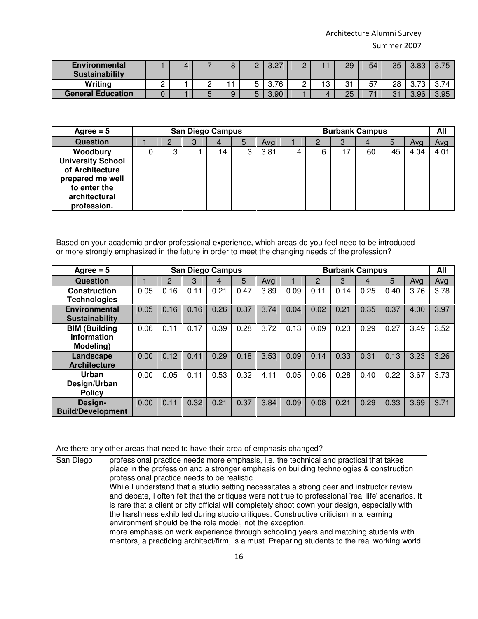| <b>Environmental</b><br><b>Sustainability</b> |          |          |   | റാ<br>◡.∟ |          |              | 29               | 54 | 35        | 3.83      |      |
|-----------------------------------------------|----------|----------|---|-----------|----------|--------------|------------------|----|-----------|-----------|------|
| Writing                                       | <u>_</u> | <u>_</u> |   | 3.76      | <u>_</u> | $\sim$<br>ັບ | $^{\sim}$<br>ا ب | 57 | 28        | ◡.≀<br>ັບ |      |
| <b>General Education</b>                      |          |          | ີ | 3.90      |          |              | 25               | –  | 21<br>ا ب | 3.96      | 3.95 |

| Agree $= 5$                                                                                                                 |         | <b>San Diego Campus</b> |    |   |      | <b>Burbank Campus</b> |   |   |    |    |      | All  |
|-----------------------------------------------------------------------------------------------------------------------------|---------|-------------------------|----|---|------|-----------------------|---|---|----|----|------|------|
| <b>Question</b>                                                                                                             |         | З                       |    | 5 | Avg  |                       |   | З |    |    | Avg  | Avg  |
| Woodbury<br><b>University School</b><br>of Architecture<br>prepared me well<br>to enter the<br>architectural<br>profession. | ◠<br>دت |                         | 14 | 3 | 3.81 | 4                     | 6 |   | 60 | 45 | 4.04 | 4.01 |

Based on your academic and/or professional experience, which areas do you feel need to be introduced or more strongly emphasized in the future in order to meet the changing needs of the profession?

| Agree $= 5$                                             |      |                | <b>San Diego Campus</b> |      |      |      |      |      | <b>Burbank Campus</b> |      |      |      | All  |
|---------------------------------------------------------|------|----------------|-------------------------|------|------|------|------|------|-----------------------|------|------|------|------|
| Question                                                |      | $\overline{2}$ | 3                       | 4    | 5    | Avg  |      | 2    | 3                     | 4    | 5    | Avg  | Avg  |
| <b>Construction</b><br><b>Technologies</b>              | 0.05 | 0.16           | 0.11                    | 0.21 | 0.47 | 3.89 | 0.09 | 0.11 | 0.14                  | 0.25 | 0.40 | 3.76 | 3.78 |
| <b>Environmental</b><br><b>Sustainability</b>           | 0.05 | 0.16           | 0.16                    | 0.26 | 0.37 | 3.74 | 0.04 | 0.02 | 0.21                  | 0.35 | 0.37 | 4.00 | 3.97 |
| <b>BIM (Building</b><br><b>Information</b><br>Modeling) | 0.06 | 0.11           | 0.17                    | 0.39 | 0.28 | 3.72 | 0.13 | 0.09 | 0.23                  | 0.29 | 0.27 | 3.49 | 3.52 |
| Landscape<br><b>Architecture</b>                        | 0.00 | 0.12           | 0.41                    | 0.29 | 0.18 | 3.53 | 0.09 | 0.14 | 0.33                  | 0.31 | 0.13 | 3.23 | 3.26 |
| Urban<br>Design/Urban<br><b>Policy</b>                  | 0.00 | 0.05           | 0.11                    | 0.53 | 0.32 | 4.11 | 0.05 | 0.06 | 0.28                  | 0.40 | 0.22 | 3.67 | 3.73 |
| Design-<br><b>Build/Development</b>                     | 0.00 | 0.11           | 0.32                    | 0.21 | 0.37 | 3.84 | 0.09 | 0.08 | 0.21                  | 0.29 | 0.33 | 3.69 | 3.71 |

Are there any other areas that need to have their area of emphasis changed?

San Diego professional practice needs more emphasis, i.e. the technical and practical that takes place in the profession and a stronger emphasis on building technologies & construction professional practice needs to be realistic While I understand that a studio setting necessitates a strong peer and instructor review and debate, I often felt that the critiques were not true to professional 'real life'scenarios. It is rare that a client or city official will completely shoot down your design, especially with the harshness exhibited during studio critiques. Constructive criticism in a learning environment should be the role model, not the exception. more emphasis on work experience through schooling years and matching students with mentors, a practicing architect/firm, is a must. Preparing students to the real working world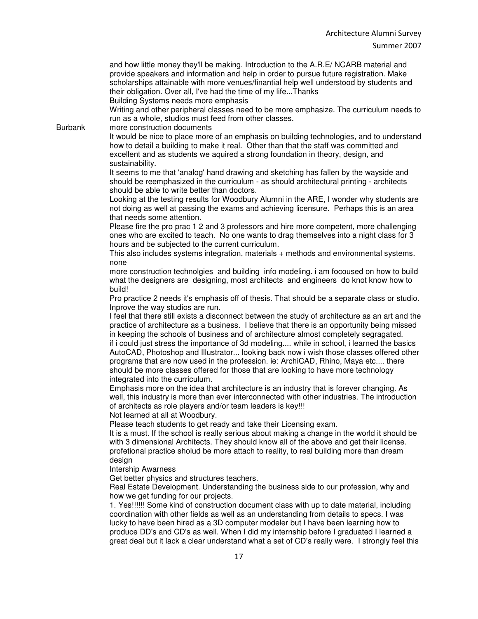and how little money they'll be making. Introduction to the A.R.E/ NCARB material and provide speakers and information and help in order to pursue future registration. Make scholarships attainable with more venues/finantial help well understood by students and their obligation. Over all, I've had the time of my life...Thanks

Building Systems needs more emphasis

Writing and other peripheral classes need to be more emphasize. The curriculum needs to run as a whole, studios must feed from other classes.

Burbank more construction documents

It would be nice to place more of an emphasis on building technologies, and to understand how to detail a building to make it real. Other than that the staff was committed and excellent and as students we aquired a strong foundation in theory, design, and sustainability.

It seems to me that 'analog' hand drawing and sketching has fallen by the wayside and should be reemphasized in the curriculum - as should architectural printing - architects should be able to write better than doctors.

Looking at the testing results for Woodbury Alumni in the ARE, I wonder why students are not doing as well at passing the exams and achieving licensure. Perhaps this is an area that needs some attention.

Please fire the pro prac 1 2 and 3 professors and hire more competent, more challenging ones who are excited to teach. No one wants to drag themselves into a night class for 3 hours and be subjected to the current curriculum.

This also includes systems integration, materials + methods and environmental systems. none

more construction technolgies and building info modeling. i am focoused on how to build what the designers are designing, most architects and engineers do knot know how to build!

Pro practice 2 needs it's emphasis off of thesis. That should be a separate class or studio. Inprove the way studios are run.

I feel that there still exists a disconnect between the study of architecture as an art and the practice of architecture as a business. I believe that there is an opportunity being missed in keeping the schools of business and of architecture almost completely segragated. if i could just stress the importance of 3d modeling.... while in school, i learned the basics AutoCAD, Photoshop and Illustrator... looking back now i wish those classes offered other programs that are now used in the profession. ie: ArchiCAD, Rhino, Maya etc.... there should be more classes offered for those that are looking to have more technology integrated into the curriculum.

Emphasis more on the idea that architecture is an industry that is forever changing. As well, this industry is more than ever interconnected with other industries. The introduction of architects as role players and/or team leaders is key!!!

Not learned at all at Woodbury.

Please teach students to get ready and take their Licensing exam.

It is a must. If the school is really serious about making a change in the world it should be with 3 dimensional Architects. They should know all of the above and get their license. profetional practice sholud be more attach to reality, to real building more than dream design

Intership Awarness

Get better physics and structures teachers.

Real Estate Development. Understanding the business side to our profession, why and how we get funding for our projects.

1. Yes!!!!!! Some kind of construction document class with up to date material, including coordination with other fields as well as an understanding from details to specs. I was lucky to have been hired as a 3D computer modeler but I have been learning how to produce DD's and CD's as well. When I did my internship before I graduated I learned a great deal but it lack a clear understand what a set of CD's really were. I strongly feel this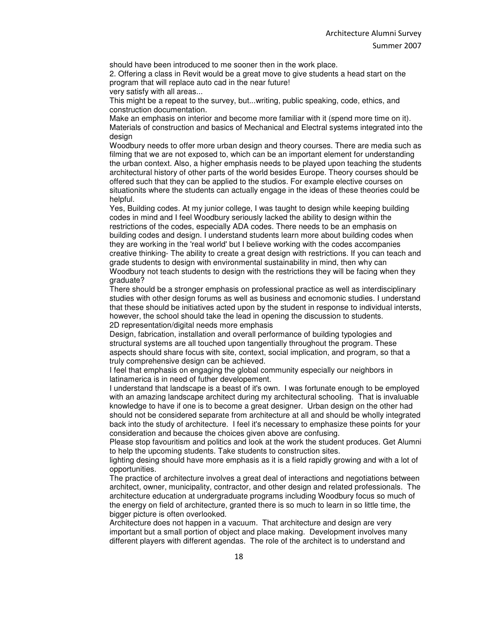should have been introduced to me sooner then in the work place.

2. Offering a class in Revit would be a great move to give students a head start on the program that will replace auto cad in the near future!

very satisfy with all areas...

This might be a repeat to the survey, but...writing, public speaking, code, ethics, and construction documentation.

Make an emphasis on interior and become more familiar with it (spend more time on it). Materials of construction and basics of Mechanical and Electral systems integrated into the design

Woodbury needs to offer more urban design and theory courses. There are media such as filming that we are not exposed to, which can be an important element for understanding the urban context. Also, a higher emphasis needs to be played upon teaching the students architectural history of other parts of the world besides Europe. Theory courses should be offered such that they can be applied to the studios. For example elective courses on situationits where the students can actually engage in the ideas of these theories could be helpful.

Yes, Building codes. At my junior college, I was taught to design while keeping building codes in mind and I feel Woodbury seriously lacked the ability to design within the restrictions of the codes, especially ADA codes. There needs to be an emphasis on building codes and design. I understand students learn more about building codes when they are working in the 'real world' but I believe working with the codes accompanies creative thinking- The ability to create a great design with restrictions. If you can teach and grade students to design with environmental sustainability in mind, then why can Woodbury not teach students to design with the restrictions they will be facing when they graduate?

There should be a stronger emphasis on professional practice as well as interdisciplinary studies with other design forums as well as business and ecnomonic studies. I understand that these should be initiatives acted upon by the student in response to individual intersts, however, the school should take the lead in opening the discussion to students. 2D representation/digital needs more emphasis

Design, fabrication, installation and overall performance of building typologies and structural systems are all touched upon tangentially throughout the program. These aspects should share focus with site, context, social implication, and program, so that a truly comprehensive design can be achieved.

I feel that emphasis on engaging the global community especially our neighbors in latinamerica is in need of futher developement.

I understand that landscape is a beast of it's own. I was fortunate enough to be employed with an amazing landscape architect during my architectural schooling. That is invaluable knowledge to have if one is to become a great designer. Urban design on the other had should not be considered separate from architecture at all and should be wholly integrated back into the study of architecture. I feel it's necessary to emphasize these points for your consideration and because the choices given above are confusing.

Please stop favouritism and politics and look at the work the student produces. Get Alumni to help the upcoming students. Take students to construction sites.

lighting desing should have more emphasis as it is a field rapidly growing and with a lot of opportunities.

The practice of architecture involves a great deal of interactions and negotiations between architect, owner, municipality, contractor, and other design and related professionals. The architecture education at undergraduate programs including Woodbury focus so much of the energy on field of architecture, granted there is so much to learn in so little time, the bigger picture is often overlooked.

Architecture does not happen in a vacuum. That architecture and design are very important but a small portion of object and place making. Development involves many different players with different agendas. The role of the architect is to understand and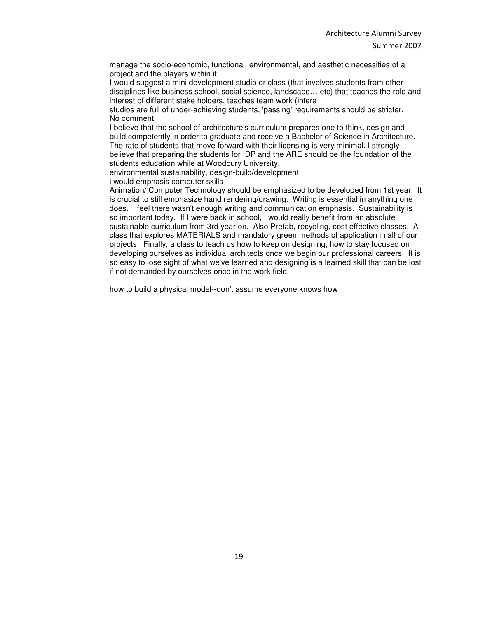manage the socio-economic, functional, environmental, and aesthetic necessities of a project and the players within it.

I would suggest a mini development studio or class (that involves students from other disciplines like business school, social science, landscape… etc) that teaches the role and interest of different stake holders, teaches team work (intera

studios are full of under-achieving students, 'passing'requirements should be stricter. No comment

I believe that the school of architecture's curriculum prepares one to think, design and build competently in order to graduate and receive a Bachelor of Science in Architecture. The rate of students that move forward with their licensing is very minimal. I strongly believe that preparing the students for IDP and the ARE should be the foundation of the students education while at Woodbury University.

environmental sustainability, design-build/development

i would emphasis computer skills

Animation/ Computer Technology should be emphasized to be developed from 1st year. It is crucial to still emphasize hand rendering/drawing. Writing is essential in anything one does. I feel there wasn't enough writing and communication emphasis. Sustainability is so important today. If I were back in school, I would really benefit from an absolute sustainable curriculum from 3rd year on. Also Prefab, recycling, cost effective classes. A class that explores MATERIALS and mandatory green methods of application in all of our projects. Finally, a class to teach us how to keep on designing, how to stay focused on developing ourselves as individual architects once we begin our professional careers. It is so easy to lose sight of what we've learned and designing is a learned skill that can be lost if not demanded by ourselves once in the work field.

how to build a physical model--don't assume everyone knows how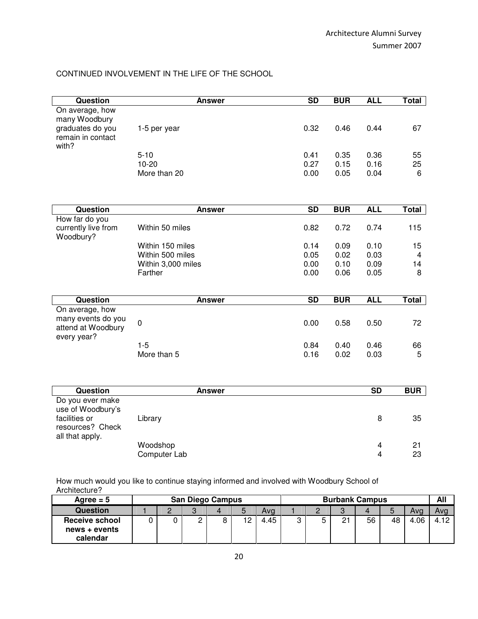### CONTINUED INVOLVEMENT IN THE LIFE OF THE SCHOOL

| Question                         | <b>Answer</b>      | <b>SD</b>       | <b>BUR</b> | <b>ALL</b>     | <b>Total</b> |
|----------------------------------|--------------------|-----------------|------------|----------------|--------------|
| On average, how                  |                    |                 |            |                |              |
| many Woodbury                    |                    |                 |            |                |              |
| graduates do you                 | 1-5 per year       | 0.32            | 0.46       | 0.44           | 67           |
| remain in contact<br>with?       |                    |                 |            |                |              |
|                                  | $5 - 10$           | 0.41            | 0.35       | 0.36           | 55           |
|                                  | $10 - 20$          | 0.27            | 0.15       | 0.16           | 25           |
|                                  | More than 20       | 0.00            | 0.05       | 0.04           | 6            |
|                                  |                    |                 |            |                |              |
|                                  |                    |                 |            |                |              |
| Question                         | <b>Answer</b>      | <b>SD</b>       | <b>BUR</b> | <b>ALL</b>     | <b>Total</b> |
| How far do you                   |                    |                 |            |                |              |
| currently live from<br>Woodbury? | Within 50 miles    | 0.82            | 0.72       | 0.74           | 115          |
|                                  | Within 150 miles   | 0.14            | 0.09       | 0.10           | 15           |
|                                  | Within 500 miles   | 0.05            | 0.02       | 0.03           | 4            |
|                                  | Within 3,000 miles | 0.00            | 0.10       | 0.09           | 14           |
|                                  | Farther            | 0.00            | 0.06       | 0.05           | 8            |
|                                  |                    |                 |            |                |              |
| <b>Question</b>                  | <b>Answer</b>      | $\overline{SD}$ | <b>BUR</b> | <b>ALL</b>     | <b>Total</b> |
| On average, how                  |                    |                 |            |                |              |
| many events do you               | $\mathbf 0$        | 0.00            | 0.58       | 0.50           | 72           |
| attend at Woodbury               |                    |                 |            |                |              |
| every year?                      | $1 - 5$            | 0.84            | 0.40       | 0.46           | 66           |
|                                  | More than 5        | 0.16            | 0.02       | 0.03           | 5            |
|                                  |                    |                 |            |                |              |
|                                  |                    |                 |            |                |              |
| <b>Question</b>                  | <b>Answer</b>      |                 |            | <b>SD</b>      | <b>BUR</b>   |
| Do you ever make                 |                    |                 |            |                |              |
| use of Woodbury's                |                    |                 |            |                |              |
| facilities or                    | Library            |                 |            | 8              | 35           |
| resources? Check                 |                    |                 |            |                |              |
| all that apply.                  | Woodshop           |                 |            | 4              | 21           |
|                                  | Computer Lab       |                 |            | $\overline{4}$ | 23           |
|                                  |                    |                 |            |                |              |

How much would you like to continue staying informed and involved with Woodbury School of Architecture?

| Agree $= 5$               | <b>San Diego Campus</b> |        |   |    |      |   |   | <b>Burbank Campus</b> |    |    |      |      |
|---------------------------|-------------------------|--------|---|----|------|---|---|-----------------------|----|----|------|------|
| Question                  |                         | C<br>υ |   |    | Avg  |   | ⌒ | $\Omega$<br>ت         |    |    | Ava  | Avq  |
| <b>Receive school</b>     |                         |        | ົ | 19 | 4.45 | ົ | u | 21                    | 56 | 48 | 4.06 | 4.12 |
| news + events<br>calendar |                         |        |   |    |      |   |   |                       |    |    |      |      |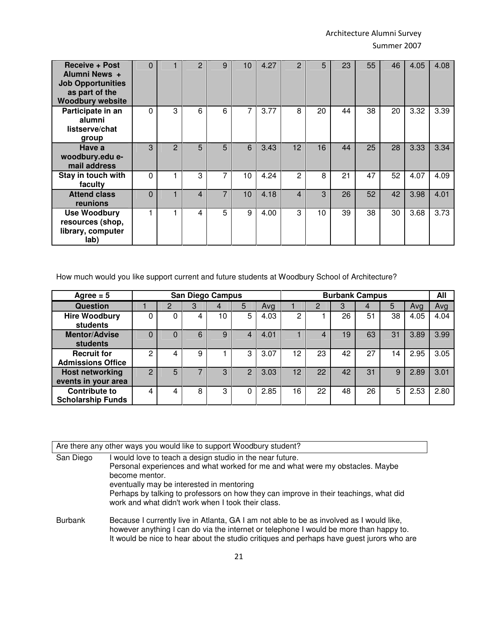| <b>Receive + Post</b><br>Alumni News +<br><b>Job Opportunities</b><br>as part of the<br><b>Woodbury website</b> | $\Omega$ |               | 2                        | 9 | 10 | 4.27 | 2              | 5  | 23 | 55 | 46 | 4.05 | 4.08 |
|-----------------------------------------------------------------------------------------------------------------|----------|---------------|--------------------------|---|----|------|----------------|----|----|----|----|------|------|
| Participate in an<br>alumni<br>listserve/chat<br>group                                                          | 0        | 3             | 6                        | 6 | 7  | 3.77 | 8              | 20 | 44 | 38 | 20 | 3.32 | 3.39 |
| Have a<br>woodbury.edu e-<br>mail address                                                                       | 3        | $\mathcal{P}$ | 5                        | 5 | 6  | 3.43 | 12             | 16 | 44 | 25 | 28 | 3.33 | 3.34 |
| Stay in touch with<br>faculty                                                                                   | 0        |               | 3                        | 7 | 10 | 4.24 | $\overline{2}$ | 8  | 21 | 47 | 52 | 4.07 | 4.09 |
| <b>Attend class</b><br>reunions                                                                                 | $\Omega$ |               | $\overline{\mathcal{A}}$ | 7 | 10 | 4.18 | 4              | 3  | 26 | 52 | 42 | 3.98 | 4.01 |
| <b>Use Woodbury</b><br>resources (shop,<br>library, computer<br>lab)                                            |          |               | 4                        | 5 | 9  | 4.00 | 3              | 10 | 39 | 38 | 30 | 3.68 | 3.73 |

How much would you like support current and future students at Woodbury School of Architecture?

| Agree $= 5$                                      |                |   | <b>San Diego Campus</b> |    |                |      | <b>Burbank Campus</b> |    |    |    |    |      |      |
|--------------------------------------------------|----------------|---|-------------------------|----|----------------|------|-----------------------|----|----|----|----|------|------|
| <b>Question</b>                                  |                |   | 3                       |    | 5              | Avg  |                       |    | 3  |    | 5  | Avg  | Avg  |
| <b>Hire Woodbury</b><br>students                 |                |   |                         | 10 | 5              | 4.03 | 2                     |    | 26 | 51 | 38 | 4.05 | 4.04 |
| <b>Mentor/Advise</b><br><b>students</b>          | 0              |   | 6                       | 9  |                | 4.01 |                       |    | 19 | 63 | 31 | 3.89 | 3.99 |
| <b>Recruit for</b><br><b>Admissions Office</b>   | 2              |   | 9                       |    | 3              | 3.07 | 12                    | 23 | 42 | 27 | 14 | 2.95 | 3.05 |
| <b>Host networking</b><br>events in your area    | $\overline{c}$ | 5 |                         | 3  | $\overline{2}$ | 3.03 | 12                    | 22 | 42 | 31 | 9  | 2.89 | 3.01 |
| <b>Contribute to</b><br><b>Scholarship Funds</b> | 4              | 4 | 8                       | 3  |                | 2.85 | 16                    | 22 | 48 | 26 | 5  | 2.53 | 2.80 |

|                | Are there any other ways you would like to support Woodbury student?                                                                                                                                                                                                                                                                                     |
|----------------|----------------------------------------------------------------------------------------------------------------------------------------------------------------------------------------------------------------------------------------------------------------------------------------------------------------------------------------------------------|
| San Diego      | I would love to teach a design studio in the near future.<br>Personal experiences and what worked for me and what were my obstacles. Maybe<br>become mentor.<br>eventually may be interested in mentoring<br>Perhaps by talking to professors on how they can improve in their teachings, what did<br>work and what didn't work when I took their class. |
| <b>Burbank</b> | Because I currently live in Atlanta, GA I am not able to be as involved as I would like,<br>however anything I can do via the internet or telephone I would be more than happy to.<br>It would be nice to hear about the studio critiques and perhaps have guest jurors who are                                                                          |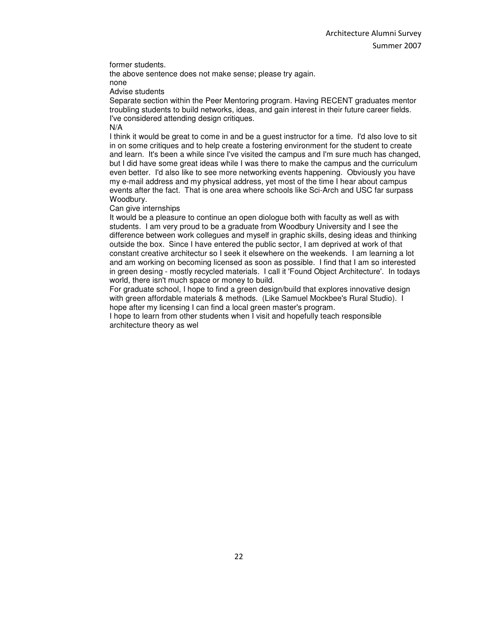former students.

the above sentence does not make sense; please try again. none

Advise students

Separate section within the Peer Mentoring program. Having RECENT graduates mentor troubling students to build networks, ideas, and gain interest in their future career fields. I've considered attending design critiques. N/A

I think it would be great to come in and be a guest instructor for a time. I'd also love to sit in on some critiques and to help create a fostering environment for the student to create and learn. It's been a while since I've visited the campus and I'm sure much has changed, but I did have some great ideas while I was there to make the campus and the curriculum even better. I'd also like to see more networking events happening. Obviously you have my e-mail address and my physical address, yet most of the time I hear about campus events after the fact. That is one area where schools like Sci-Arch and USC far surpass Woodbury.

Can give internships

It would be a pleasure to continue an open diologue both with faculty as well as with students. I am very proud to be a graduate from Woodbury University and I see the difference between work collegues and myself in graphic skills, desing ideas and thinking outside the box. Since I have entered the public sector, I am deprived at work of that constant creative architectur so I seek it elsewhere on the weekends. I am learning a lot and am working on becoming licensed as soon as possible. I find that I am so interested in green desing - mostly recycled materials. I call it 'Found Object Architecture'. In todays world, there isn't much space or money to build.

For graduate school, I hope to find a green design/build that explores innovative desian with green affordable materials & methods. (Like Samuel Mockbee's Rural Studio). I hope after my licensing I can find a local green master's program.

I hope to learn from other students when I visit and hopefully teach responsible architecture theory as wel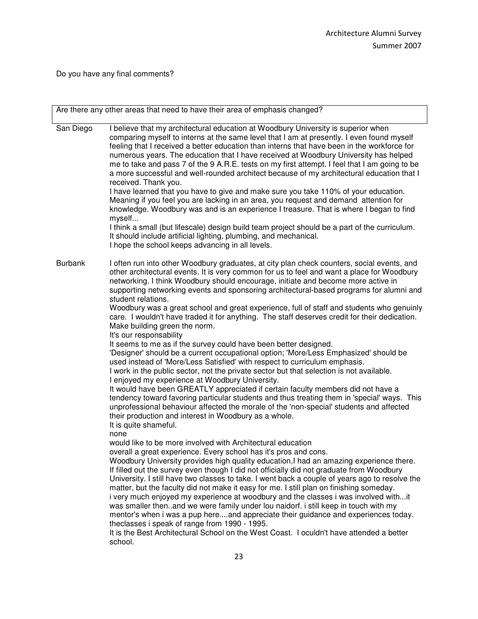Do you have any final comments?

|                | Are there any other areas that need to have their area of emphasis changed?                                                                                                                                                                                                                                                                                                                                                                                                                                                                                                                                                                                                                                                                                                                                                                                                                                                                                                                                                                                                                             |  |  |  |  |  |  |  |  |
|----------------|---------------------------------------------------------------------------------------------------------------------------------------------------------------------------------------------------------------------------------------------------------------------------------------------------------------------------------------------------------------------------------------------------------------------------------------------------------------------------------------------------------------------------------------------------------------------------------------------------------------------------------------------------------------------------------------------------------------------------------------------------------------------------------------------------------------------------------------------------------------------------------------------------------------------------------------------------------------------------------------------------------------------------------------------------------------------------------------------------------|--|--|--|--|--|--|--|--|
|                |                                                                                                                                                                                                                                                                                                                                                                                                                                                                                                                                                                                                                                                                                                                                                                                                                                                                                                                                                                                                                                                                                                         |  |  |  |  |  |  |  |  |
| San Diego      | I believe that my architectural education at Woodbury University is superior when<br>comparing myself to interns at the same level that I am at presently. I even found myself<br>feeling that I received a better education than interns that have been in the workforce for<br>numerous years. The education that I have received at Woodbury University has helped<br>me to take and pass 7 of the 9 A.R.E. tests on my first attempt. I feel that I am going to be<br>a more successful and well-rounded architect because of my architectural education that I<br>received. Thank you.<br>I have learned that you have to give and make sure you take 110% of your education.<br>Meaning if you feel you are lacking in an area, you request and demand attention for<br>knowledge. Woodbury was and is an experience I treasure. That is where I began to find<br>myself<br>I think a small (but lifescale) design build team project should be a part of the curriculum.<br>It should include artificial lighting, plumbing, and mechanical.<br>I hope the school keeps advancing in all levels. |  |  |  |  |  |  |  |  |
| <b>Burbank</b> | I often run into other Woodbury graduates, at city plan check counters, social events, and<br>other architectural events. It is very common for us to feel and want a place for Woodbury<br>networking. I think Woodbury should encourage, initiate and become more active in<br>supporting networking events and sponsoring architectural-based programs for alumni and<br>student relations.<br>Woodbury was a great school and great experience, full of staff and students who genuinly<br>care. I wouldn't have traded it for anything. The staff deserves credit for their dedication.<br>Make building green the norm.                                                                                                                                                                                                                                                                                                                                                                                                                                                                           |  |  |  |  |  |  |  |  |
|                | It's our responsability<br>It seems to me as if the survey could have been better designed.<br>'Designer' should be a current occupational option; 'More/Less Emphasized' should be<br>used instead of 'More/Less Satisfied' with respect to curriculum emphasis.<br>I work in the public sector, not the private sector but that selection is not available.<br>I enjoyed my experience at Woodbury University.<br>It would have been GREATLY appreciated if certain faculty members did not have a<br>tendency toward favoring particular students and thus treating them in 'special' ways. This<br>unprofessional behaviour affected the morale of the 'non-special' students and affected<br>their production and interest in Woodbury as a whole.<br>It is quite shameful.<br>none                                                                                                                                                                                                                                                                                                                |  |  |  |  |  |  |  |  |
|                | would like to be more involved with Architectural education<br>overall a great experience. Every school has it's pros and cons.<br>Woodbury University provides high quality education, I had an amazing experience there.<br>If filled out the survey even though I did not officially did not graduate from Woodbury<br>University. I still have two classes to take. I went back a couple of years ago to resolve the<br>matter, but the faculty did not make it easy for me. I still plan on finishing someday.<br>i very much enjoyed my experience at woodbury and the classes i was involved withit<br>was smaller thenand we were family under lou naidorf. i still keep in touch with my<br>mentor's when i was a pup hereand appreciate their guidance and experiences today.<br>theclasses i speak of range from 1990 - 1995.<br>It is the Best Architectural School on the West Coast. I oculdn't have attended a better<br>school.                                                                                                                                                         |  |  |  |  |  |  |  |  |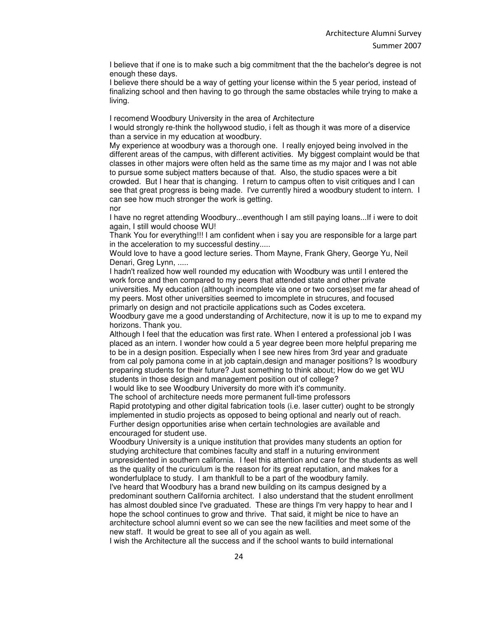I believe that if one is to make such a big commitment that the the bachelor's degree is not enough these days.

I believe there should be a way of getting your license within the 5 year period, instead of finalizing school and then having to go through the same obstacles while trying to make a living.

I recomend Woodbury University in the area of Architecture

I would strongly re-think the hollywood studio, i felt as though it was more of a diservice than a service in my education at woodbury.

My experience at woodbury was a thorough one. I really enjoyed being involved in the different areas of the campus, with different activities. My biggest complaint would be that classes in other majors were often held as the same time as my major and I was not able to pursue some subject matters because of that. Also, the studio spaces were a bit crowded. But I hear that is changing. I return to campus often to visit critiques and I can see that great progress is being made. I've currently hired a woodbury student to intern. I can see how much stronger the work is getting.

nor

I have no regret attending Woodbury...eventhough I am still paying loans...If i were to doit again, I still would choose WU!

Thank You for everything!!! I am confident when i say you are responsible for a large part in the acceleration to my successful destiny.....

Would love to have a good lecture series. Thom Mayne, Frank Ghery, George Yu, Neil Denari, Greg Lynn, .....

I hadn't realized how well rounded my education with Woodbury was until I entered the work force and then compared to my peers that attended state and other private universities. My education (although incomplete via one or two corses)set me far ahead of my peers. Most other universities seemed to imcomplete in strucures, and focused primarly on design and not practicile applications such as Codes excetera.

Woodbury gave me a good understanding of Architecture, now it is up to me to expand my horizons. Thank you.

Although I feel that the education was first rate. When I entered a professional job I was placed as an intern. I wonder how could a 5 year degree been more helpful preparing me to be in a design position. Especially when I see new hires from 3rd year and graduate from cal poly pamona come in at job captain,design and manager positions? Is woodbury preparing students for their future? Just something to think about; How do we get WU students in those design and management position out of college?

I would like to see Woodbury University do more with it's community.

The school of architecture needs more permanent full-time professors

Rapid prototyping and other digital fabrication tools (i.e. laser cutter) ought to be strongly implemented in studio projects as opposed to being optional and nearly out of reach. Further design opportunities arise when certain technologies are available and encouraged for student use.

Woodbury University is a unique institution that provides many students an option for studying architecture that combines faculty and staff in a nuturing environment unpresidented in southern california. I feel this attention and care for the students as well as the quality of the curiculum is the reason for its great reputation, and makes for a wonderfulplace to study. I am thankfull to be a part of the woodbury family.

I've heard that Woodbury has a brand new building on its campus designed by a predominant southern California architect. I also understand that the student enrollment has almost doubled since I've graduated. These are things I'm very happy to hear and I hope the school continues to grow and thrive. That said, it might be nice to have an architecture school alumni event so we can see the new facilities and meet some of the new staff. It would be great to see all of you again as well.

I wish the Architecture all the success and if the school wants to build international